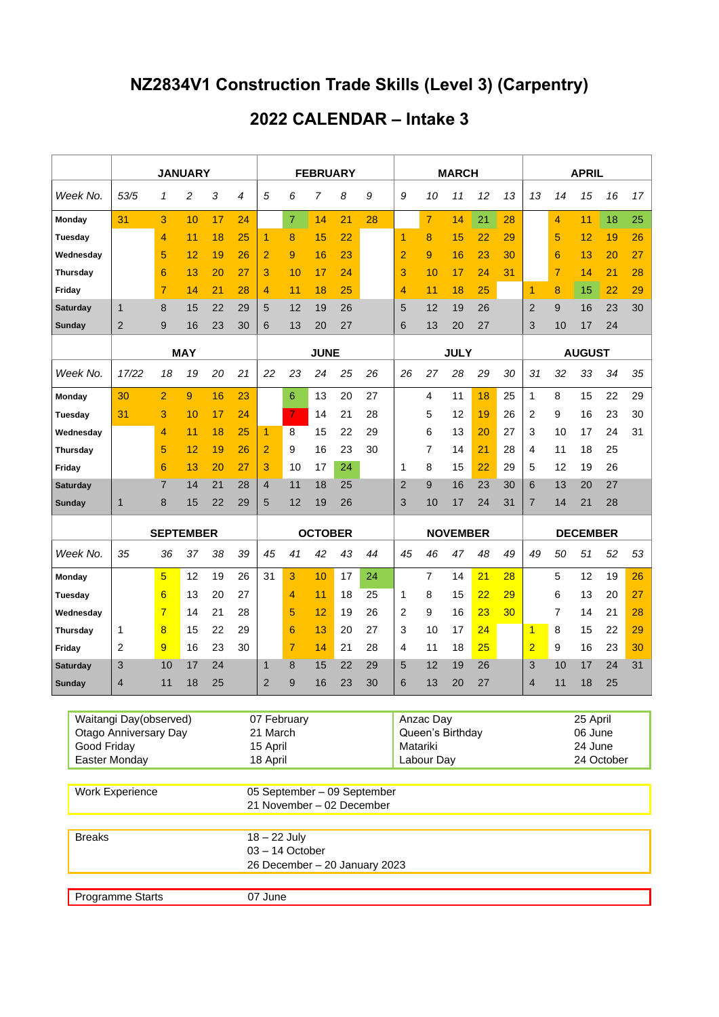## **NZ2834V1 Construction Trade Skills (Level 3) (Carpentry)**

## **2022 CALENDAR – Intake 3**

|                 |                 | <b>JANUARY</b>                                                          |                  |    |                                                          |    |                                                                      | <b>FEBRUARY</b> |             |    |    |                |                                             | <b>MARCH</b>    |                                              |    | <b>APRIL</b>    |                |    |    |    |  |
|-----------------|-----------------|-------------------------------------------------------------------------|------------------|----|----------------------------------------------------------|----|----------------------------------------------------------------------|-----------------|-------------|----|----|----------------|---------------------------------------------|-----------------|----------------------------------------------|----|-----------------|----------------|----|----|----|--|
|                 | Week No.        | 53/5                                                                    | 1                | 2  | 3                                                        | 4  | 5                                                                    | 6               | 7           | 8  | 9  | 9              | 10                                          | 11              | 12                                           | 13 | 13              | 14             | 15 | 16 | 17 |  |
| Monday          |                 | 31                                                                      | 3                | 10 | 17                                                       | 24 |                                                                      | $\overline{7}$  | 14          | 21 | 28 |                | $\overline{7}$                              | 14              | 21                                           | 28 |                 | 4              | 11 | 18 | 25 |  |
| Tuesday         |                 |                                                                         | 4                | 11 | 18                                                       | 25 | 1                                                                    | 8               | 15          | 22 |    | $\overline{1}$ | 8                                           | 15              | 22                                           | 29 |                 | 5              | 12 | 19 | 26 |  |
| Wednesday       |                 |                                                                         | 5                | 12 | 19                                                       | 26 | $\overline{2}$                                                       | 9               | 16          | 23 |    | $\overline{2}$ | 9                                           | 16              | 23                                           | 30 |                 | 6              | 13 | 20 | 27 |  |
| <b>Thursday</b> |                 |                                                                         | 6                | 13 | 20                                                       | 27 | 3                                                                    | 10              | 17          | 24 |    | 3              | 10                                          | 17              | 24                                           | 31 |                 | $\overline{7}$ | 14 | 21 | 28 |  |
| Friday          |                 |                                                                         | $\overline{7}$   | 14 | 21                                                       | 28 | 4                                                                    | 11              | 18          | 25 |    | 4              | 11                                          | 18              | 25                                           |    | 1               | 8              | 15 | 22 | 29 |  |
|                 | Saturday        | 1                                                                       | 8                | 15 | 22                                                       | 29 | 5                                                                    | 12              | 19          | 26 |    | 5              | 12                                          | 19              | 26                                           |    | $\overline{2}$  | 9              | 16 | 23 | 30 |  |
| Sunday          |                 | 2                                                                       | 9                | 16 | 23                                                       | 30 | 6                                                                    | 13              | 20          | 27 |    | 6              | 13                                          | 20              | 27                                           |    | 3               | 10             | 17 | 24 |    |  |
|                 |                 | <b>MAY</b>                                                              |                  |    |                                                          |    |                                                                      |                 | <b>JUNE</b> |    |    |                |                                             | <b>JULY</b>     |                                              |    | <b>AUGUST</b>   |                |    |    |    |  |
| Week No.        |                 | 17/22                                                                   | 18               | 19 | 20                                                       | 21 | 22                                                                   | 23              | 24          | 25 | 26 | 26             | 27                                          | 28              | 29                                           | 30 | 31              | 32             | 33 | 34 | 35 |  |
| Monday          |                 | 30                                                                      | $\overline{2}$   | 9  | 16                                                       | 23 |                                                                      | 6               | 13          | 20 | 27 |                | 4                                           | 11              | 18                                           | 25 | 1               | 8              | 15 | 22 | 29 |  |
| Tuesday         |                 | 31                                                                      | 3                | 10 | 17                                                       | 24 |                                                                      | 7               | 14          | 21 | 28 |                | 5                                           | 12              | 19                                           | 26 | 2               | 9              | 16 | 23 | 30 |  |
| Wednesday       |                 |                                                                         | 4                | 11 | 18                                                       | 25 | 1                                                                    | 8               | 15          | 22 | 29 |                | 6                                           | 13              | 20                                           | 27 | 3               | 10             | 17 | 24 | 31 |  |
| Thursday        |                 |                                                                         | 5                | 12 | 19                                                       | 26 | 2                                                                    | 9               | 16          | 23 | 30 |                | 7                                           | 14              | 21                                           | 28 | 4               | 11             | 18 | 25 |    |  |
| Friday          |                 |                                                                         | 6                | 13 | 20                                                       | 27 | 3                                                                    | 10              | 17          | 24 |    | 1              | 8                                           | 15              | 22                                           | 29 | 5               | 12             | 19 | 26 |    |  |
| Saturday        |                 |                                                                         | $\overline{7}$   | 14 | 21                                                       | 28 | 4                                                                    | 11              | 18          | 25 |    | $\overline{2}$ | 9                                           | 16              | 23                                           | 30 | 6               | 13             | 20 | 27 |    |  |
| Sunday          |                 | 1                                                                       | 8                | 15 | 22                                                       | 29 | 5                                                                    | 12              | 19          | 26 |    | 3              | 10                                          | 17              | 24                                           | 31 | 7               | 14             | 21 | 28 |    |  |
|                 |                 |                                                                         | <b>SEPTEMBER</b> |    |                                                          |    | <b>OCTOBER</b>                                                       |                 |             |    |    |                |                                             | <b>NOVEMBER</b> |                                              |    | <b>DECEMBER</b> |                |    |    |    |  |
| Week No.        |                 | 35                                                                      | 36               | 37 | 38                                                       | 39 | 45                                                                   | 41              | 42          | 43 | 44 | 45             | 46                                          | 47              | 48                                           | 49 | 49              | 50             | 51 | 52 | 53 |  |
| Monday          |                 |                                                                         | $\overline{5}$   | 12 | 19                                                       | 26 | 31                                                                   | 3               | 10          | 17 | 24 |                | 7                                           | 14              | 21                                           | 28 |                 | 5              | 12 | 19 | 26 |  |
| <b>Tuesday</b>  |                 |                                                                         | 6                | 13 | 20                                                       | 27 |                                                                      | 4               | 11          | 18 | 25 | 1              | 8                                           | 15              | 22                                           | 29 |                 | 6              | 13 | 20 | 27 |  |
|                 | Wednesday       |                                                                         | $\overline{7}$   | 14 | 21                                                       | 28 |                                                                      | 5               | 12          | 19 | 26 | $\overline{2}$ | 9                                           | 16              | 23                                           | 30 |                 | 7              | 14 | 21 | 28 |  |
|                 | <b>Thursday</b> | 1                                                                       | 8                | 15 | 22                                                       | 29 |                                                                      | 6               | 13          | 20 | 27 | 3              | 10                                          | 17              | 24                                           |    | 1               | 8              | 15 | 22 | 29 |  |
| Friday          |                 | 2                                                                       | 9                | 16 | 23                                                       | 30 |                                                                      | $\overline{7}$  | 14          | 21 | 28 | 4              | 11                                          | 18              | 25                                           |    | $\overline{2}$  | 9              | 16 | 23 | 30 |  |
|                 | Saturday        | 3                                                                       | 10               | 17 | 24                                                       |    | $\mathbf 1$                                                          | 8               | 15          | 22 | 29 | 5              | 12                                          | 19              | 26                                           |    | 3               | 10             | 17 | 24 | 31 |  |
| Sunday          |                 | 4                                                                       | 11               | 18 | 25                                                       |    | $\overline{2}$                                                       | 9               | 16          | 23 | 30 | 6              | 13                                          | 20              | 27                                           |    | 4               | 11             | 18 | 25 |    |  |
|                 | Good Friday     | Waitangi Day(observed)<br><b>Otago Anniversary Day</b><br>Easter Monday |                  |    |                                                          |    | 07 February<br>21 March<br>15 April<br>18 April                      |                 |             |    |    | Matariki       | Anzac Day<br>Queen's Birthday<br>Labour Day |                 | 25 April<br>06 June<br>24 June<br>24 October |    |                 |                |    |    |    |  |
|                 |                 | <b>Work Experience</b>                                                  |                  |    | 05 September - 09 September<br>21 November - 02 December |    |                                                                      |                 |             |    |    |                |                                             |                 |                                              |    |                 |                |    |    |    |  |
|                 | <b>Breaks</b>   |                                                                         |                  |    |                                                          |    | $18 - 22$ July<br>$03 - 14$ October<br>26 December - 20 January 2023 |                 |             |    |    |                |                                             |                 |                                              |    |                 |                |    |    |    |  |
|                 |                 | Programme Starts                                                        |                  |    |                                                          |    | 07 June                                                              |                 |             |    |    |                |                                             |                 |                                              |    |                 |                |    |    |    |  |